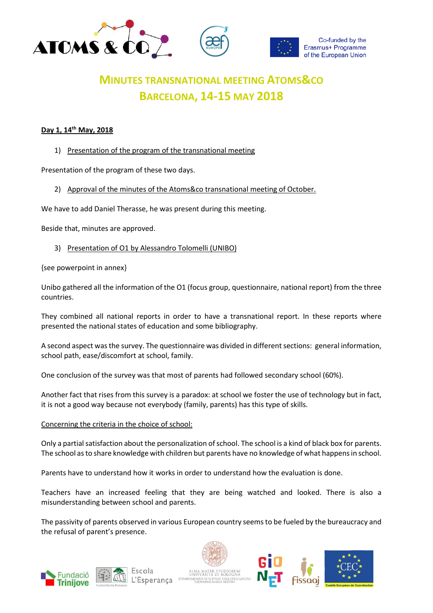

# **MINUTES TRANSNATIONAL MEETING ATOMS&CO BARCELONA, 14-15 MAY 2018**

# **Day 1, 14th May, 2018**

1) Presentation of the program of the transnational meeting

Presentation of the program of these two days.

2) Approval of the minutes of the Atoms&co transnational meeting of October.

We have to add Daniel Therasse, he was present during this meeting.

Beside that, minutes are approved.

3) Presentation of O1 by Alessandro Tolomelli (UNIBO)

{see powerpoint in annex}

Unibo gathered all the information of the O1 (focus group, questionnaire, national report) from the three countries.

They combined all national reports in order to have a transnational report. In these reports where presented the national states of education and some bibliography.

A second aspect was the survey. The questionnaire was divided in different sections: general information, school path, ease/discomfort at school, family.

One conclusion of the survey was that most of parents had followed secondary school (60%).

Another fact that rises from this survey is a paradox: at school we foster the use of technology but in fact, it is not a good way because not everybody (family, parents) has this type of skills.

Concerning the criteria in the choice of school:

Only a partial satisfaction about the personalization of school. The school is a kind of black box for parents. The school as to share knowledge with children but parents have no knowledge of what happens in school.

Parents have to understand how it works in order to understand how the evaluation is done.

Teachers have an increased feeling that they are being watched and looked. There is also a misunderstanding between school and parents.

The passivity of parents observed in various European country seems to be fueled by the bureaucracy and the refusal of parent's presence.







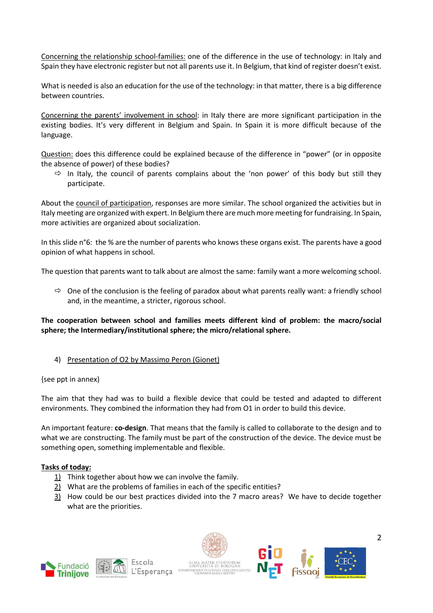Concerning the relationship school-families: one of the difference in the use of technology: in Italy and Spain they have electronic register but not all parents use it. In Belgium, that kind of register doesn't exist.

What is needed is also an education for the use of the technology: in that matter, there is a big difference between countries.

Concerning the parents' involvement in school: in Italy there are more significant participation in the existing bodies. It's very different in Belgium and Spain. In Spain it is more difficult because of the language.

Question: does this difference could be explained because of the difference in "power" (or in opposite the absence of power) of these bodies?

 $\Rightarrow$  In Italy, the council of parents complains about the 'non power' of this body but still they participate.

About the council of participation, responses are more similar. The school organized the activities but in Italy meeting are organized with expert. In Belgium there are much more meeting for fundraising. In Spain, more activities are organized about socialization.

In this slide n°6: the % are the number of parents who knows these organs exist. The parents have a good opinion of what happens in school.

The question that parents want to talk about are almost the same: family want a more welcoming school.

 $\Rightarrow$  One of the conclusion is the feeling of paradox about what parents really want: a friendly school and, in the meantime, a stricter, rigorous school.

# **The cooperation between school and families meets different kind of problem: the macro/social sphere; the Intermediary/institutional sphere; the micro/relational sphere.**

4) Presentation of O2 by Massimo Peron (Gionet)

{see ppt in annex)

The aim that they had was to build a flexible device that could be tested and adapted to different environments. They combined the information they had from O1 in order to build this device.

An important feature: **co-design**. That means that the family is called to collaborate to the design and to what we are constructing. The family must be part of the construction of the device. The device must be something open, something implementable and flexible.

# **Tasks of today:**

- 1) Think together about how we can involve the family.
- 2) What are the problems of families in each of the specific entities?
- 3) How could be our best practices divided into the 7 macro areas? We have to decide together what are the priorities.







2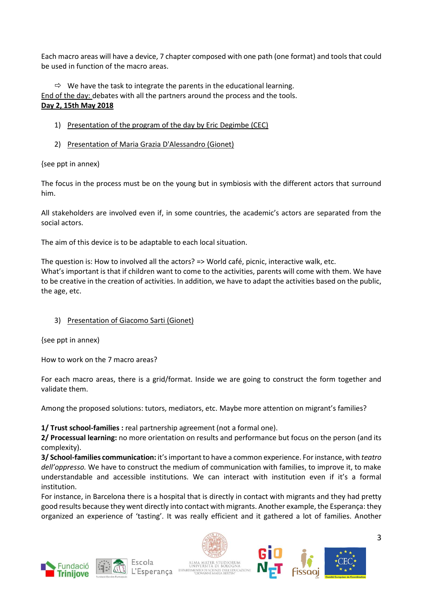Each macro areas will have a device, 7 chapter composed with one path (one format) and tools that could be used in function of the macro areas.

 $\Rightarrow$  We have the task to integrate the parents in the educational learning. End of the day: debates with all the partners around the process and the tools. **Day 2, 15th May 2018**

- 1) Presentation of the program of the day by Eric Degimbe (CEC)
- 2) Presentation of Maria Grazia D'Alessandro (Gionet)

{see ppt in annex)

The focus in the process must be on the young but in symbiosis with the different actors that surround him.

All stakeholders are involved even if, in some countries, the academic's actors are separated from the social actors.

The aim of this device is to be adaptable to each local situation.

The question is: How to involved all the actors? => World café, picnic, interactive walk, etc. What's important is that if children want to come to the activities, parents will come with them. We have to be creative in the creation of activities. In addition, we have to adapt the activities based on the public, the age, etc.

# 3) Presentation of Giacomo Sarti (Gionet)

{see ppt in annex)

How to work on the 7 macro areas?

For each macro areas, there is a grid/format. Inside we are going to construct the form together and validate them.

Among the proposed solutions: tutors, mediators, etc. Maybe more attention on migrant's families?

**1/ Trust school-families :** real partnership agreement (not a formal one).

**2/ Processual learning:** no more orientation on results and performance but focus on the person (and its complexity).

**3/ School-families communication:** it's important to have a common experience. For instance, with *teatro dell'oppresso.* We have to construct the medium of communication with families, to improve it, to make understandable and accessible institutions. We can interact with institution even if it's a formal institution.

For instance, in Barcelona there is a hospital that is directly in contact with migrants and they had pretty good results because they went directly into contact with migrants. Another example, the Esperança: they organized an experience of 'tasting'. It was really efficient and it gathered a lot of families. Another







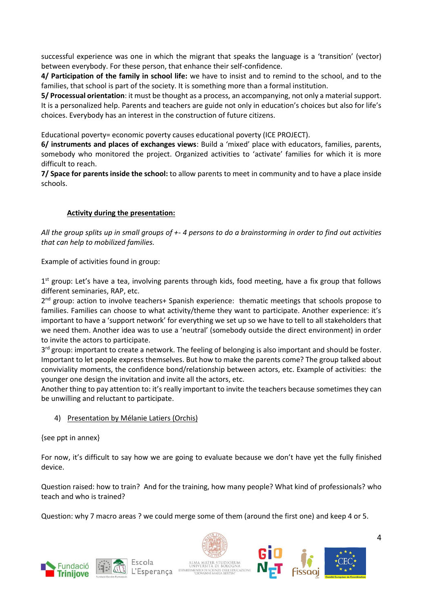successful experience was one in which the migrant that speaks the language is a 'transition' (vector) between everybody. For these person, that enhance their self-confidence.

**4/ Participation of the family in school life:** we have to insist and to remind to the school, and to the families, that school is part of the society. It is something more than a formal institution.

**5/ Processual orientation**: it must be thought as a process, an accompanying, not only a material support. It is a personalized help. Parents and teachers are guide not only in education's choices but also for life's choices. Everybody has an interest in the construction of future citizens.

Educational poverty= economic poverty causes educational poverty (ICE PROJECT).

**6/ instruments and places of exchanges views**: Build a 'mixed' place with educators, families, parents, somebody who monitored the project. Organized activities to 'activate' families for which it is more difficult to reach.

**7/ Space for parents inside the school:** to allow parents to meet in community and to have a place inside schools.

# **Activity during the presentation:**

*All the group splits up in small groups of +- 4 persons to do a brainstorming in order to find out activities that can help to mobilized families.*

Example of activities found in group:

1<sup>st</sup> group: Let's have a tea, involving parents through kids, food meeting, have a fix group that follows different seminaries, RAP, etc.

2<sup>nd</sup> group: action to involve teachers+ Spanish experience: thematic meetings that schools propose to families. Families can choose to what activity/theme they want to participate. Another experience: it's important to have a 'support network' for everything we set up so we have to tell to all stakeholders that we need them. Another idea was to use a 'neutral' (somebody outside the direct environment) in order to invite the actors to participate.

3<sup>rd</sup> group: important to create a network. The feeling of belonging is also important and should be foster. Important to let people express themselves. But how to make the parents come? The group talked about conviviality moments, the confidence bond/relationship between actors, etc. Example of activities: the younger one design the invitation and invite all the actors, etc.

Another thing to pay attention to: it's really important to invite the teachers because sometimes they can be unwilling and reluctant to participate.

#### 4) Presentation by Mélanie Latiers (Orchis)

{see ppt in annex}

For now, it's difficult to say how we are going to evaluate because we don't have yet the fully finished device.

Question raised: how to train? And for the training, how many people? What kind of professionals? who teach and who is trained?

Question: why 7 macro areas ? we could merge some of them (around the first one) and keep 4 or 5.









4